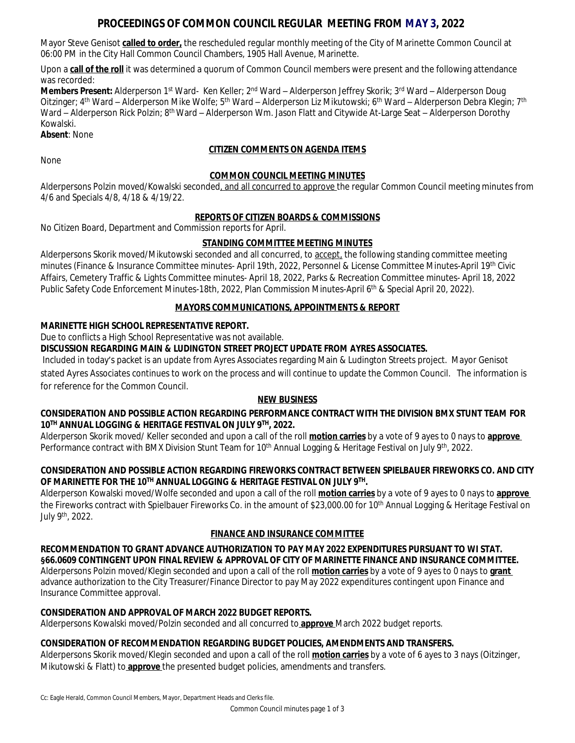# **PROCEEDINGS OF COMMON COUNCIL REGULAR MEETING FROM MAY 3, 2022**

Mayor Steve Genisot **called to order,** the rescheduled regular monthly meeting of the City of Marinette Common Council at 06:00 PM in the City Hall Common Council Chambers, 1905 Hall Avenue, Marinette.

Upon a **call of the roll** it was determined a quorum of Common Council members were present and the following attendance was recorded:

**Members Present:** Alderperson 1<sup>st</sup> Ward- Ken Keller; 2<sup>nd</sup> Ward – Alderperson Jeffrey Skorik; 3<sup>rd</sup> Ward – Alderperson Doug Oitzinger; 4<sup>th</sup> Ward – Alderperson Mike Wolfe; 5<sup>th</sup> Ward – Alderperson Liz Mikutowski; 6<sup>th</sup> Ward – Alderperson Debra Klegin; 7<sup>th</sup> Ward – Alderperson Rick Polzin; 8<sup>th</sup> Ward – Alderperson Wm. Jason Flatt and Citywide At-Large Seat – Alderperson Dorothy Kowalski.

## **Absent**: None

# **CITIZEN COMMENTS ON AGENDA ITEMS**

None

## **COMMON COUNCIL MEETING MINUTES**

Alderpersons Polzin moved/Kowalski seconded, and all concurred to approve the regular Common Council meeting minutes from 4/6 and Specials 4/8, 4/18 & 4/19/22.

## **REPORTS OF CITIZEN BOARDS & COMMISSIONS**

No Citizen Board, Department and Commission reports for April.

## **STANDING COMMITTEE MEETING MINUTES**

Alderpersons Skorik moved/Mikutowski seconded and all concurred, to accept, the following standing committee meeting minutes (Finance & Insurance Committee minutes- April 19th, 2022, Personnel & License Committee Minutes-April 19th Civic Affairs, Cemetery Traffic & Lights Committee minutes- April 18, 2022, Parks & Recreation Committee minutes- April 18, 2022 Public Safety Code Enforcement Minutes-18th, 2022, Plan Commission Minutes-April 6<sup>th</sup> & Special April 20, 2022).

## **MAYORS COMMUNICATIONS, APPOINTMENTS & REPORT**

## **MARINETTE HIGH SCHOOL REPRESENTATIVE REPORT.**

Due to conflicts a High School Representative was not available.

**DISCUSSION REGARDING MAIN & LUDINGTON STREET PROJECT UPDATE FROM AYRES ASSOCIATES.**

Included in today's packet is an update from Ayres Associates regarding Main & Ludington Streets project. Mayor Genisot stated Ayres Associates continues to work on the process and will continue to update the Common Council. The information is for reference for the Common Council.

### **NEW BUSINESS**

## **CONSIDERATION AND POSSIBLE ACTION REGARDING PERFORMANCE CONTRACT WITH THE DIVISION BMX STUNT TEAM FOR 10TH ANNUAL LOGGING & HERITAGE FESTIVAL ON JULY 9TH, 2022.**

Alderperson Skorik moved/ Keller seconded and upon a call of the roll **motion carries** by a vote of 9 ayes to 0 nays to **approve**  Performance contract with BMX Division Stunt Team for 10<sup>th</sup> Annual Logging & Heritage Festival on July 9<sup>th</sup>, 2022.

## **CONSIDERATION AND POSSIBLE ACTION REGARDING FIREWORKS CONTRACT BETWEEN SPIELBAUER FIREWORKS CO. AND CITY OF MARINETTE FOR THE 10TH ANNUAL LOGGING & HERITAGE FESTIVAL ON JULY 9TH .**

Alderperson Kowalski moved/Wolfe seconded and upon a call of the roll **motion carries** by a vote of 9 ayes to 0 nays to **approve**  the Fireworks contract with Spielbauer Fireworks Co. in the amount of \$23,000.00 for 10<sup>th</sup> Annual Logging & Heritage Festival on July 9th, 2022.

### **FINANCE AND INSURANCE COMMITTEE**

**RECOMMENDATION TO GRANT ADVANCE AUTHORIZATION TO PAY MAY 2022 EXPENDITURES PURSUANT TO WI STAT. §66.0609 CONTINGENT UPON FINAL REVIEW & APPROVAL OF CITY OF MARINETTE FINANCE AND INSURANCE COMMITTEE.** Alderpersons Polzin moved/Klegin seconded and upon a call of the roll **motion carries** by a vote of 9 ayes to 0 nays to **grant**  advance authorization to the City Treasurer/Finance Director to pay May 2022 expenditures contingent upon Finance and Insurance Committee approval.

### **CONSIDERATION AND APPROVAL OF MARCH 2022 BUDGET REPORTS.**

Alderpersons Kowalski moved/Polzin seconded and all concurred to **approve** March 2022 budget reports.

## **CONSIDERATION OF RECOMMENDATION REGARDING BUDGET POLICIES, AMENDMENTS AND TRANSFERS.**

Alderpersons Skorik moved/Klegin seconded and upon a call of the roll **motion carries** by a vote of 6 ayes to 3 nays (Oitzinger, Mikutowski & Flatt) to **approve** the presented budget policies, amendments and transfers.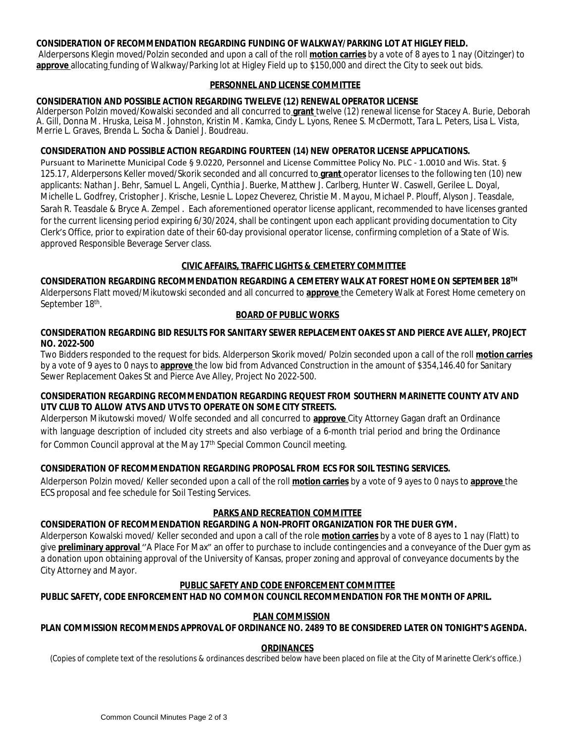### **CONSIDERATION OF RECOMMENDATION REGARDING FUNDING OF WALKWAY/PARKING LOT AT HIGLEY FIELD.**

Alderpersons Klegin moved/Polzin seconded and upon a call of the roll **motion carries** by a vote of 8 ayes to 1 nay (Oitzinger) to **approve** allocating funding of Walkway/Parking lot at Higley Field up to \$150,000 and direct the City to seek out bids.

#### **PERSONNEL AND LICENSE COMMITTEE**

### **CONSIDERATION AND POSSIBLE ACTION REGARDING TWELEVE (12) RENEWAL OPERATOR LICENSE**

Alderperson Polzin moved/Kowalski seconded and all concurred to **grant** twelve (12) renewal license for Stacey A. Burie, Deborah A. Gill, Donna M. Hruska, Leisa M. Johnston, Kristin M. Kamka, Cindy L. Lyons, Renee S. McDermott, Tara L. Peters, Lisa L. Vista, Merrie L. Graves, Brenda L. Socha & Daniel J. Boudreau.

#### **CONSIDERATION AND POSSIBLE ACTION REGARDING FOURTEEN (14) NEW OPERATOR LICENSE APPLICATIONS.**

Pursuant to Marinette Municipal Code § 9.0220, Personnel and License Committee Policy No. PLC - 1.0010 and Wis. Stat. § 125.17, Alderpersons Keller moved/Skorik seconded and all concurred to **grant** operator licenses to the following ten (10) new applicants: Nathan J. Behr, Samuel L. Angeli, Cynthia J. Buerke, Matthew J. Carlberg, Hunter W. Caswell, Gerilee L. Doyal, Michelle L. Godfrey, Cristopher J. Krische, Lesnie L. Lopez Cheverez, Christie M. Mayou, Michael P. Plouff, Alyson J. Teasdale, Sarah R. Teasdale & Bryce A. Zempel . Each aforementioned operator license applicant, recommended to have licenses granted for the current licensing period expiring 6/30/2024, shall be contingent upon each applicant providing documentation to City Clerk's Office, prior to expiration date of their 60-day provisional operator license, confirming completion of a State of Wis. approved Responsible Beverage Server class.

### **CIVIC AFFAIRS, TRAFFIC LIGHTS & CEMETERY COMMITTEE**

**CONSIDERATION REGARDING RECOMMENDATION REGARDING A CEMETERY WALK AT FOREST HOME ON SEPTEMBER 18TH** Alderpersons Flatt moved/Mikutowski seconded and all concurred to **approve** the Cemetery Walk at Forest Home cemetery on September 18<sup>th</sup>.

### **BOARD OF PUBLIC WORKS**

#### **CONSIDERATION REGARDING BID RESULTS FOR SANITARY SEWER REPLACEMENT OAKES ST AND PIERCE AVE ALLEY, PROJECT NO. 2022-500**

Two Bidders responded to the request for bids. Alderperson Skorik moved/ Polzin seconded upon a call of the roll **motion carries** by a vote of 9 ayes to 0 nays to **approve** the low bid from Advanced Construction in the amount of \$354,146.40 for Sanitary Sewer Replacement Oakes St and Pierce Ave Alley, Project No 2022-500.

### **CONSIDERATION REGARDING RECOMMENDATION REGARDING REQUEST FROM SOUTHERN MARINETTE COUNTY ATV AND UTV CLUB TO ALLOW ATVS AND UTVS TO OPERATE ON SOME CITY STREETS.**

Alderperson Mikutowski moved/ Wolfe seconded and all concurred to **approve** City Attorney Gagan draft an Ordinance with language description of included city streets and also verbiage of a 6-month trial period and bring the Ordinance for Common Council approval at the May 17<sup>th</sup> Special Common Council meeting.

### **CONSIDERATION OF RECOMMENDATION REGARDING PROPOSAL FROM ECS FOR SOIL TESTING SERVICES.**

Alderperson Polzin moved/ Keller seconded upon a call of the roll **motion carries** by a vote of 9 ayes to 0 nays to **approve** the ECS proposal and fee schedule for Soil Testing Services.

### **PARKS AND RECREATION COMMITTEE**

### **CONSIDERATION OF RECOMMENDATION REGARDING A NON-PROFIT ORGANIZATION FOR THE DUER GYM.**

Alderperson Kowalski moved/ Keller seconded and upon a call of the role **motion carries** by a vote of 8 ayes to 1 nay (Flatt) to give **preliminary approval** ''A Place For Max" an offer to purchase to include contingencies and a conveyance of the Duer gym as a donation upon obtaining approval of the University of Kansas, proper zoning and approval of conveyance documents by the City Attorney and Mayor.

### **PUBLIC SAFETY AND CODE ENFORCEMENT COMMITTEE**

### **PUBLIC SAFETY, CODE ENFORCEMENT HAD NO COMMON COUNCIL RECOMMENDATION FOR THE MONTH OF APRIL.**

### **PLAN COMMISSION**

#### **PLAN COMMISSION RECOMMENDS APPROVAL OF ORDINANCE NO. 2489 TO BE CONSIDERED LATER ON TONIGHT'S AGENDA.**

#### **ORDINANCES**

(Copies of complete text of the resolutions & ordinances described below have been placed on file at the City of Marinette Clerk's office.)